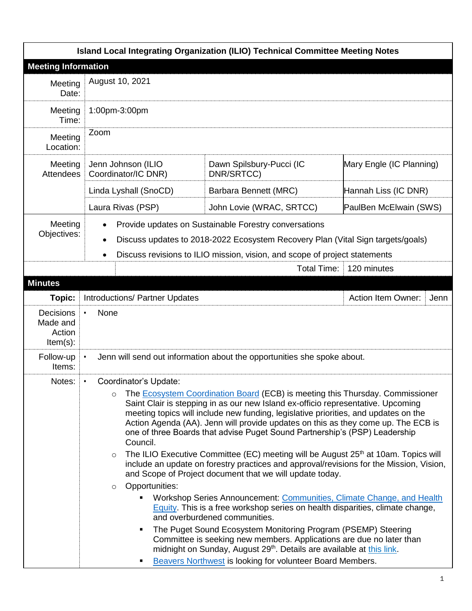|                                                       |                                                                                                                                                                                                                                                                                                                                                                                                                                                                                                                                                                                                                                                                                                                                                                                                                                                                                                                                                                                                                                                                                                                                                                                                                                                                                                       | Island Local Integrating Organization (ILIO) Technical Committee Meeting Notes                                                                                                                                         |                                   |
|-------------------------------------------------------|-------------------------------------------------------------------------------------------------------------------------------------------------------------------------------------------------------------------------------------------------------------------------------------------------------------------------------------------------------------------------------------------------------------------------------------------------------------------------------------------------------------------------------------------------------------------------------------------------------------------------------------------------------------------------------------------------------------------------------------------------------------------------------------------------------------------------------------------------------------------------------------------------------------------------------------------------------------------------------------------------------------------------------------------------------------------------------------------------------------------------------------------------------------------------------------------------------------------------------------------------------------------------------------------------------|------------------------------------------------------------------------------------------------------------------------------------------------------------------------------------------------------------------------|-----------------------------------|
| <b>Meeting Information</b>                            |                                                                                                                                                                                                                                                                                                                                                                                                                                                                                                                                                                                                                                                                                                                                                                                                                                                                                                                                                                                                                                                                                                                                                                                                                                                                                                       |                                                                                                                                                                                                                        |                                   |
| Meeting<br>Date:                                      | August 10, 2021                                                                                                                                                                                                                                                                                                                                                                                                                                                                                                                                                                                                                                                                                                                                                                                                                                                                                                                                                                                                                                                                                                                                                                                                                                                                                       |                                                                                                                                                                                                                        |                                   |
| Meeting<br>Time:                                      | 1:00pm-3:00pm                                                                                                                                                                                                                                                                                                                                                                                                                                                                                                                                                                                                                                                                                                                                                                                                                                                                                                                                                                                                                                                                                                                                                                                                                                                                                         |                                                                                                                                                                                                                        |                                   |
| Meeting<br>Location:                                  | Zoom                                                                                                                                                                                                                                                                                                                                                                                                                                                                                                                                                                                                                                                                                                                                                                                                                                                                                                                                                                                                                                                                                                                                                                                                                                                                                                  |                                                                                                                                                                                                                        |                                   |
| Meeting<br>Attendees                                  | Jenn Johnson (ILIO<br>Coordinator/IC DNR)                                                                                                                                                                                                                                                                                                                                                                                                                                                                                                                                                                                                                                                                                                                                                                                                                                                                                                                                                                                                                                                                                                                                                                                                                                                             | Dawn Spilsbury-Pucci (IC<br>DNR/SRTCC)                                                                                                                                                                                 | Mary Engle (IC Planning)          |
|                                                       | Linda Lyshall (SnoCD)                                                                                                                                                                                                                                                                                                                                                                                                                                                                                                                                                                                                                                                                                                                                                                                                                                                                                                                                                                                                                                                                                                                                                                                                                                                                                 | Barbara Bennett (MRC)                                                                                                                                                                                                  | Hannah Liss (IC DNR)              |
|                                                       | Laura Rivas (PSP)                                                                                                                                                                                                                                                                                                                                                                                                                                                                                                                                                                                                                                                                                                                                                                                                                                                                                                                                                                                                                                                                                                                                                                                                                                                                                     | John Lovie (WRAC, SRTCC)                                                                                                                                                                                               | PaulBen McElwain (SWS)            |
| Meeting<br>Objectives:                                | ٠                                                                                                                                                                                                                                                                                                                                                                                                                                                                                                                                                                                                                                                                                                                                                                                                                                                                                                                                                                                                                                                                                                                                                                                                                                                                                                     | Provide updates on Sustainable Forestry conversations<br>Discuss updates to 2018-2022 Ecosystem Recovery Plan (Vital Sign targets/goals)<br>Discuss revisions to ILIO mission, vision, and scope of project statements |                                   |
|                                                       |                                                                                                                                                                                                                                                                                                                                                                                                                                                                                                                                                                                                                                                                                                                                                                                                                                                                                                                                                                                                                                                                                                                                                                                                                                                                                                       | <b>Total Time:</b>                                                                                                                                                                                                     | 120 minutes                       |
| <b>Minutes</b>                                        |                                                                                                                                                                                                                                                                                                                                                                                                                                                                                                                                                                                                                                                                                                                                                                                                                                                                                                                                                                                                                                                                                                                                                                                                                                                                                                       |                                                                                                                                                                                                                        |                                   |
| Topic:                                                | Introductions/ Partner Updates                                                                                                                                                                                                                                                                                                                                                                                                                                                                                                                                                                                                                                                                                                                                                                                                                                                                                                                                                                                                                                                                                                                                                                                                                                                                        |                                                                                                                                                                                                                        | <b>Action Item Owner:</b><br>Jenn |
| <b>Decisions</b><br>Made and<br>Action<br>$Item(s)$ : | None<br>$\bullet$                                                                                                                                                                                                                                                                                                                                                                                                                                                                                                                                                                                                                                                                                                                                                                                                                                                                                                                                                                                                                                                                                                                                                                                                                                                                                     |                                                                                                                                                                                                                        |                                   |
| Follow-up<br>Items:                                   |                                                                                                                                                                                                                                                                                                                                                                                                                                                                                                                                                                                                                                                                                                                                                                                                                                                                                                                                                                                                                                                                                                                                                                                                                                                                                                       | Jenn will send out information about the opportunities she spoke about.                                                                                                                                                |                                   |
| Notes:                                                | Coordinator's Update:<br>$\bullet$<br>The Ecosystem Coordination Board (ECB) is meeting this Thursday. Commissioner<br>$\circ$<br>Saint Clair is stepping in as our new Island ex-officio representative. Upcoming<br>meeting topics will include new funding, legislative priorities, and updates on the<br>Action Agenda (AA). Jenn will provide updates on this as they come up. The ECB is<br>one of three Boards that advise Puget Sound Partnership's (PSP) Leadership<br>Council.<br>The ILIO Executive Committee (EC) meeting will be August 25 <sup>th</sup> at 10am. Topics will<br>$\circ$<br>include an update on forestry practices and approval/revisions for the Mission, Vision,<br>and Scope of Project document that we will update today.<br>Opportunities:<br>$\circ$<br>Workshop Series Announcement: Communities, Climate Change, and Health<br>٠<br>Equity. This is a free workshop series on health disparities, climate change,<br>and overburdened communities.<br>The Puget Sound Ecosystem Monitoring Program (PSEMP) Steering<br>٠<br>Committee is seeking new members. Applications are due no later than<br>midnight on Sunday, August 29 <sup>th</sup> . Details are available at this link.<br><b>Beavers Northwest is looking for volunteer Board Members.</b><br>п |                                                                                                                                                                                                                        |                                   |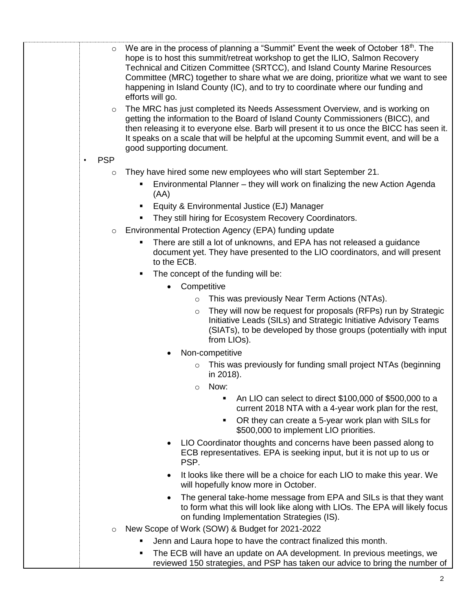| $\circ$                 | We are in the process of planning a "Summit" Event the week of October 18th. The<br>hope is to host this summit/retreat workshop to get the ILIO, Salmon Recovery<br>Technical and Citizen Committee (SRTCC), and Island County Marine Resources<br>Committee (MRC) together to share what we are doing, prioritize what we want to see<br>happening in Island County (IC), and to try to coordinate where our funding and<br>efforts will go. |
|-------------------------|------------------------------------------------------------------------------------------------------------------------------------------------------------------------------------------------------------------------------------------------------------------------------------------------------------------------------------------------------------------------------------------------------------------------------------------------|
| $\circ$                 | The MRC has just completed its Needs Assessment Overview, and is working on<br>getting the information to the Board of Island County Commissioners (BICC), and<br>then releasing it to everyone else. Barb will present it to us once the BICC has seen it.<br>It speaks on a scale that will be helpful at the upcoming Summit event, and will be a<br>good supporting document.                                                              |
| <b>PSP</b><br>$\bullet$ |                                                                                                                                                                                                                                                                                                                                                                                                                                                |
| $\circ$                 | They have hired some new employees who will start September 21.                                                                                                                                                                                                                                                                                                                                                                                |
|                         | Environmental Planner – they will work on finalizing the new Action Agenda<br>٠<br>(AA)                                                                                                                                                                                                                                                                                                                                                        |
|                         | Equity & Environmental Justice (EJ) Manager<br>٠                                                                                                                                                                                                                                                                                                                                                                                               |
|                         | They still hiring for Ecosystem Recovery Coordinators.<br>п                                                                                                                                                                                                                                                                                                                                                                                    |
| $\circ$                 | Environmental Protection Agency (EPA) funding update                                                                                                                                                                                                                                                                                                                                                                                           |
|                         | There are still a lot of unknowns, and EPA has not released a guidance<br>٠                                                                                                                                                                                                                                                                                                                                                                    |
|                         | document yet. They have presented to the LIO coordinators, and will present<br>to the ECB.                                                                                                                                                                                                                                                                                                                                                     |
|                         | The concept of the funding will be:<br>٠                                                                                                                                                                                                                                                                                                                                                                                                       |
|                         | Competitive<br>$\bullet$                                                                                                                                                                                                                                                                                                                                                                                                                       |
|                         | This was previously Near Term Actions (NTAs).<br>$\circ$                                                                                                                                                                                                                                                                                                                                                                                       |
|                         | They will now be request for proposals (RFPs) run by Strategic<br>$\circ$<br>Initiative Leads (SILs) and Strategic Initiative Advisory Teams<br>(SIATs), to be developed by those groups (potentially with input<br>from LIOs).                                                                                                                                                                                                                |
|                         | Non-competitive                                                                                                                                                                                                                                                                                                                                                                                                                                |
|                         | This was previously for funding small project NTAs (beginning<br>$\circ$<br>in 2018).<br>Now:<br>$\circ$                                                                                                                                                                                                                                                                                                                                       |
|                         | An LIO can select to direct \$100,000 of \$500,000 to a<br>$\blacksquare$<br>current 2018 NTA with a 4-year work plan for the rest,                                                                                                                                                                                                                                                                                                            |
|                         | OR they can create a 5-year work plan with SILs for<br>٠<br>\$500,000 to implement LIO priorities.                                                                                                                                                                                                                                                                                                                                             |
|                         | LIO Coordinator thoughts and concerns have been passed along to<br>$\bullet$<br>ECB representatives. EPA is seeking input, but it is not up to us or<br>PSP.                                                                                                                                                                                                                                                                                   |
|                         | It looks like there will be a choice for each LIO to make this year. We<br>$\bullet$<br>will hopefully know more in October.                                                                                                                                                                                                                                                                                                                   |
|                         | The general take-home message from EPA and SILs is that they want<br>$\bullet$<br>to form what this will look like along with LIOs. The EPA will likely focus<br>on funding Implementation Strategies (IS).                                                                                                                                                                                                                                    |
| $\circ$                 | New Scope of Work (SOW) & Budget for 2021-2022                                                                                                                                                                                                                                                                                                                                                                                                 |
|                         | Jenn and Laura hope to have the contract finalized this month.<br>٠                                                                                                                                                                                                                                                                                                                                                                            |
|                         | The ECB will have an update on AA development. In previous meetings, we<br>п                                                                                                                                                                                                                                                                                                                                                                   |
|                         | reviewed 150 strategies, and PSP has taken our advice to bring the number of                                                                                                                                                                                                                                                                                                                                                                   |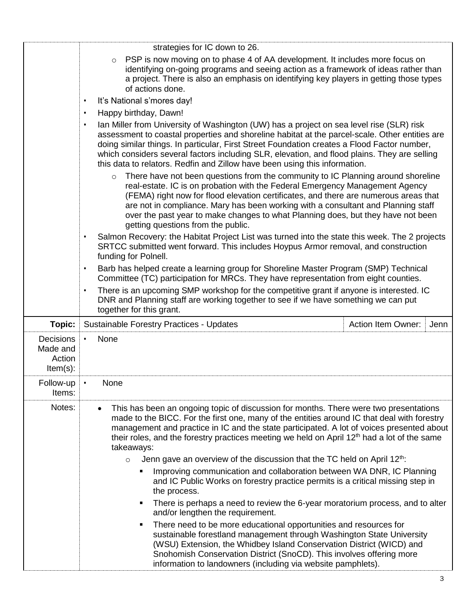|                                                       | strategies for IC down to 26.                                                                                                                                                                                                                                                                                                                                                                                                                                                        |  |  |
|-------------------------------------------------------|--------------------------------------------------------------------------------------------------------------------------------------------------------------------------------------------------------------------------------------------------------------------------------------------------------------------------------------------------------------------------------------------------------------------------------------------------------------------------------------|--|--|
|                                                       | PSP is now moving on to phase 4 of AA development. It includes more focus on<br>$\circ$<br>identifying on-going programs and seeing action as a framework of ideas rather than<br>a project. There is also an emphasis on identifying key players in getting those types<br>of actions done.                                                                                                                                                                                         |  |  |
|                                                       | It's National s'mores day!<br>$\bullet$                                                                                                                                                                                                                                                                                                                                                                                                                                              |  |  |
|                                                       | Happy birthday, Dawn!<br>$\bullet$                                                                                                                                                                                                                                                                                                                                                                                                                                                   |  |  |
|                                                       | Ian Miller from University of Washington (UW) has a project on sea level rise (SLR) risk<br>$\bullet$<br>assessment to coastal properties and shoreline habitat at the parcel-scale. Other entities are<br>doing similar things. In particular, First Street Foundation creates a Flood Factor number,<br>which considers several factors including SLR, elevation, and flood plains. They are selling<br>this data to relators. Redfin and Zillow have been using this information. |  |  |
|                                                       | There have not been questions from the community to IC Planning around shoreline<br>$\circ$<br>real-estate. IC is on probation with the Federal Emergency Management Agency<br>(FEMA) right now for flood elevation certificates, and there are numerous areas that<br>are not in compliance. Mary has been working with a consultant and Planning staff<br>over the past year to make changes to what Planning does, but they have not been<br>getting questions from the public.   |  |  |
|                                                       | Salmon Recovery: the Habitat Project List was turned into the state this week. The 2 projects<br>SRTCC submitted went forward. This includes Hoypus Armor removal, and construction<br>funding for Polnell.                                                                                                                                                                                                                                                                          |  |  |
|                                                       | Barb has helped create a learning group for Shoreline Master Program (SMP) Technical<br>$\bullet$<br>Committee (TC) participation for MRCs. They have representation from eight counties.                                                                                                                                                                                                                                                                                            |  |  |
|                                                       | There is an upcoming SMP workshop for the competitive grant if anyone is interested. IC<br>$\bullet$<br>DNR and Planning staff are working together to see if we have something we can put<br>together for this grant.                                                                                                                                                                                                                                                               |  |  |
| Topic:                                                | <b>Sustainable Forestry Practices - Updates</b><br><b>Action Item Owner:</b><br>Jenn                                                                                                                                                                                                                                                                                                                                                                                                 |  |  |
| <b>Decisions</b><br>Made and<br>Action<br>$Item(s)$ : | None                                                                                                                                                                                                                                                                                                                                                                                                                                                                                 |  |  |
| Follow-up<br>Items:                                   | None<br>$\bullet$                                                                                                                                                                                                                                                                                                                                                                                                                                                                    |  |  |
| Notes:                                                | This has been an ongoing topic of discussion for months. There were two presentations<br>$\bullet$<br>made to the BICC. For the first one, many of the entities around IC that deal with forestry<br>management and practice in IC and the state participated. A lot of voices presented about<br>their roles, and the forestry practices meeting we held on April 12 <sup>th</sup> had a lot of the same<br>takeaways:                                                              |  |  |
|                                                       | Jenn gave an overview of the discussion that the TC held on April 12 <sup>th</sup> :<br>$\circ$                                                                                                                                                                                                                                                                                                                                                                                      |  |  |
|                                                       | Improving communication and collaboration between WA DNR, IC Planning<br>п<br>and IC Public Works on forestry practice permits is a critical missing step in<br>the process.                                                                                                                                                                                                                                                                                                         |  |  |
|                                                       | There is perhaps a need to review the 6-year moratorium process, and to alter<br>Ξ<br>and/or lengthen the requirement.                                                                                                                                                                                                                                                                                                                                                               |  |  |
|                                                       | There need to be more educational opportunities and resources for<br>٠<br>sustainable forestland management through Washington State University<br>(WSU) Extension, the Whidbey Island Conservation District (WICD) and<br>Snohomish Conservation District (SnoCD). This involves offering more<br>information to landowners (including via website pamphlets).                                                                                                                      |  |  |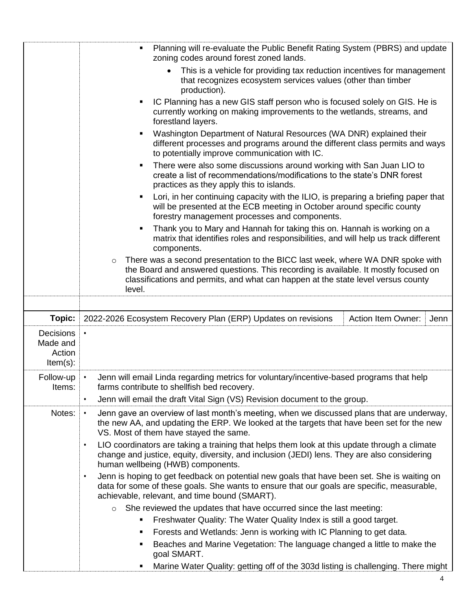|                                                       | Planning will re-evaluate the Public Benefit Rating System (PBRS) and update<br>П<br>zoning codes around forest zoned lands.                                                                                                                                                    |
|-------------------------------------------------------|---------------------------------------------------------------------------------------------------------------------------------------------------------------------------------------------------------------------------------------------------------------------------------|
|                                                       | This is a vehicle for providing tax reduction incentives for management<br>$\bullet$<br>that recognizes ecosystem services values (other than timber<br>production).                                                                                                            |
|                                                       | IC Planning has a new GIS staff person who is focused solely on GIS. He is<br>٠<br>currently working on making improvements to the wetlands, streams, and<br>forestland layers.                                                                                                 |
|                                                       | Washington Department of Natural Resources (WA DNR) explained their<br>٠<br>different processes and programs around the different class permits and ways<br>to potentially improve communication with IC.                                                                       |
|                                                       | There were also some discussions around working with San Juan LIO to<br>٠<br>create a list of recommendations/modifications to the state's DNR forest<br>practices as they apply this to islands.                                                                               |
|                                                       | Lori, in her continuing capacity with the ILIO, is preparing a briefing paper that<br>٠<br>will be presented at the ECB meeting in October around specific county<br>forestry management processes and components.                                                              |
|                                                       | Thank you to Mary and Hannah for taking this on. Hannah is working on a<br>Ξ<br>matrix that identifies roles and responsibilities, and will help us track different<br>components.                                                                                              |
|                                                       | There was a second presentation to the BICC last week, where WA DNR spoke with<br>$\circ$<br>the Board and answered questions. This recording is available. It mostly focused on<br>classifications and permits, and what can happen at the state level versus county<br>level. |
|                                                       |                                                                                                                                                                                                                                                                                 |
| Topic:                                                | 2022-2026 Ecosystem Recovery Plan (ERP) Updates on revisions<br><b>Action Item Owner:</b><br>Jenn                                                                                                                                                                               |
| <b>Decisions</b><br>Made and<br>Action<br>$Item(s)$ : |                                                                                                                                                                                                                                                                                 |
| Follow-up<br>Items:                                   | Jenn will email Linda regarding metrics for voluntary/incentive-based programs that help<br>$\bullet$<br>farms contribute to shellfish bed recovery.<br>Jenn will email the draft Vital Sign (VS) Revision document to the group.<br>$\bullet$                                  |
| Notes:                                                | Jenn gave an overview of last month's meeting, when we discussed plans that are underway,<br>the new AA, and updating the ERP. We looked at the targets that have been set for the new<br>VS. Most of them have stayed the same.                                                |
|                                                       | LIO coordinators are taking a training that helps them look at this update through a climate<br>$\bullet$<br>change and justice, equity, diversity, and inclusion (JEDI) lens. They are also considering<br>human wellbeing (HWB) components.                                   |
|                                                       | Jenn is hoping to get feedback on potential new goals that have been set. She is waiting on<br>$\bullet$<br>data for some of these goals. She wants to ensure that our goals are specific, measurable,<br>achievable, relevant, and time bound (SMART).                         |
|                                                       | She reviewed the updates that have occurred since the last meeting:<br>$\circ$                                                                                                                                                                                                  |
|                                                       | Freshwater Quality: The Water Quality Index is still a good target.<br>Ξ                                                                                                                                                                                                        |
|                                                       | Forests and Wetlands: Jenn is working with IC Planning to get data.<br>Ξ                                                                                                                                                                                                        |
|                                                       | Beaches and Marine Vegetation: The language changed a little to make the<br>п<br>goal SMART.                                                                                                                                                                                    |
|                                                       | Marine Water Quality: getting off of the 303d listing is challenging. There might<br>Е                                                                                                                                                                                          |

4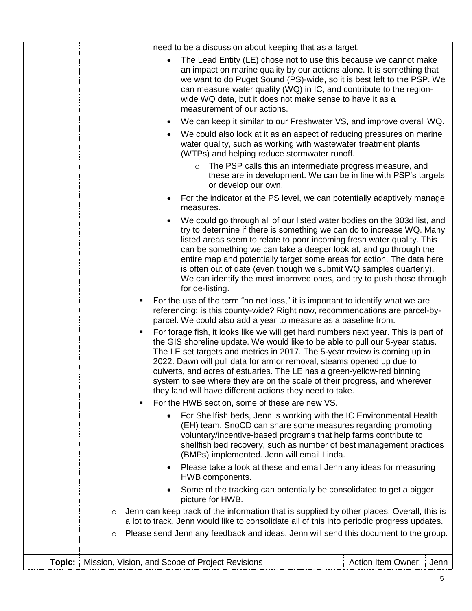|        | need to be a discussion about keeping that as a target.                                                                                                                                                                                                                                                                                                                                                                                                                                                                                           |                           |      |
|--------|---------------------------------------------------------------------------------------------------------------------------------------------------------------------------------------------------------------------------------------------------------------------------------------------------------------------------------------------------------------------------------------------------------------------------------------------------------------------------------------------------------------------------------------------------|---------------------------|------|
|        | The Lead Entity (LE) chose not to use this because we cannot make<br>an impact on marine quality by our actions alone. It is something that<br>we want to do Puget Sound (PS)-wide, so it is best left to the PSP. We<br>can measure water quality (WQ) in IC, and contribute to the region-<br>wide WQ data, but it does not make sense to have it as a<br>measurement of our actions.                                                                                                                                                           |                           |      |
|        | We can keep it similar to our Freshwater VS, and improve overall WQ.                                                                                                                                                                                                                                                                                                                                                                                                                                                                              |                           |      |
|        | We could also look at it as an aspect of reducing pressures on marine<br>water quality, such as working with wastewater treatment plants<br>(WTPs) and helping reduce stormwater runoff.                                                                                                                                                                                                                                                                                                                                                          |                           |      |
|        | The PSP calls this an intermediate progress measure, and<br>these are in development. We can be in line with PSP's targets<br>or develop our own.                                                                                                                                                                                                                                                                                                                                                                                                 |                           |      |
|        | For the indicator at the PS level, we can potentially adaptively manage<br>٠<br>measures.                                                                                                                                                                                                                                                                                                                                                                                                                                                         |                           |      |
|        | We could go through all of our listed water bodies on the 303d list, and<br>try to determine if there is something we can do to increase WQ. Many<br>listed areas seem to relate to poor incoming fresh water quality. This<br>can be something we can take a deeper look at, and go through the<br>entire map and potentially target some areas for action. The data here<br>is often out of date (even though we submit WQ samples quarterly).<br>We can identify the most improved ones, and try to push those through<br>for de-listing.      |                           |      |
|        | For the use of the term "no net loss," it is important to identify what we are<br>٠<br>referencing: is this county-wide? Right now, recommendations are parcel-by-<br>parcel. We could also add a year to measure as a baseline from.                                                                                                                                                                                                                                                                                                             |                           |      |
|        | For forage fish, it looks like we will get hard numbers next year. This is part of<br>п<br>the GIS shoreline update. We would like to be able to pull our 5-year status.<br>The LE set targets and metrics in 2017. The 5-year review is coming up in<br>2022. Dawn will pull data for armor removal, steams opened up due to<br>culverts, and acres of estuaries. The LE has a green-yellow-red binning<br>system to see where they are on the scale of their progress, and wherever<br>they land will have different actions they need to take. |                           |      |
|        | For the HWB section, some of these are new VS.                                                                                                                                                                                                                                                                                                                                                                                                                                                                                                    |                           |      |
|        | For Shellfish beds, Jenn is working with the IC Environmental Health<br>(EH) team. SnoCD can share some measures regarding promoting<br>voluntary/incentive-based programs that help farms contribute to<br>shellfish bed recovery, such as number of best management practices<br>(BMPs) implemented. Jenn will email Linda.                                                                                                                                                                                                                     |                           |      |
|        | Please take a look at these and email Jenn any ideas for measuring<br>HWB components.                                                                                                                                                                                                                                                                                                                                                                                                                                                             |                           |      |
|        | Some of the tracking can potentially be consolidated to get a bigger<br>picture for HWB.                                                                                                                                                                                                                                                                                                                                                                                                                                                          |                           |      |
|        | Jenn can keep track of the information that is supplied by other places. Overall, this is<br>$\circ$<br>a lot to track. Jenn would like to consolidate all of this into periodic progress updates.                                                                                                                                                                                                                                                                                                                                                |                           |      |
|        | Please send Jenn any feedback and ideas. Jenn will send this document to the group.<br>$\circ$                                                                                                                                                                                                                                                                                                                                                                                                                                                    |                           |      |
|        |                                                                                                                                                                                                                                                                                                                                                                                                                                                                                                                                                   |                           |      |
| Topic: | Mission, Vision, and Scope of Project Revisions                                                                                                                                                                                                                                                                                                                                                                                                                                                                                                   | <b>Action Item Owner:</b> | Jenn |